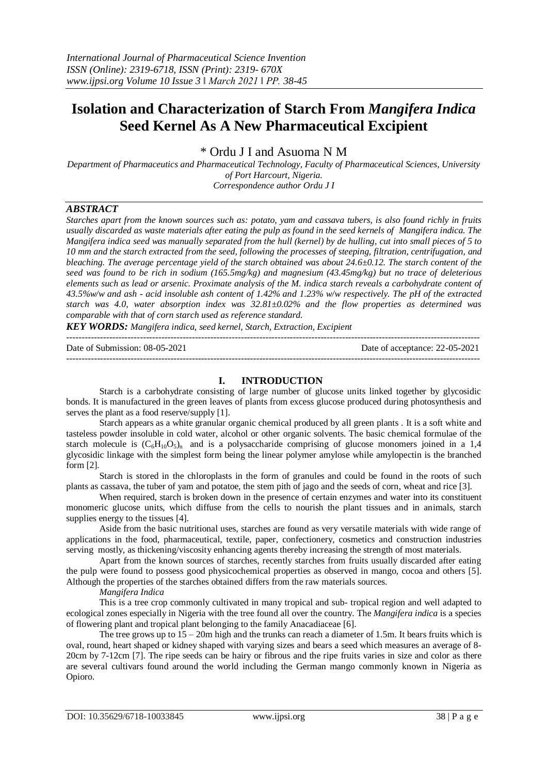# **Isolation and Characterization of Starch From** *Mangifera Indica* **Seed Kernel As A New Pharmaceutical Excipient**

\* Ordu J I and Asuoma N M

*Department of Pharmaceutics and Pharmaceutical Technology, Faculty of Pharmaceutical Sciences, University of Port Harcourt, Nigeria. Correspondence author Ordu J I*

## *ABSTRACT*

*Starches apart from the known sources such as: potato, yam and cassava tubers, is also found richly in fruits usually discarded as waste materials after eating the pulp as found in the seed kernels of Mangifera indica. The Mangifera indica seed was manually separated from the hull (kernel) by de hulling, cut into small pieces of 5 to 10 mm and the starch extracted from the seed, following the processes of steeping, filtration, centrifugation, and bleaching. The average percentage yield of the starch obtained was about 24.6±0.12. The starch content of the seed was found to be rich in sodium (165.5mg/kg) and magnesium (43.45mg/kg) but no trace of deleterious elements such as lead or arsenic. Proximate analysis of the M. indica starch reveals a carbohydrate content of 43.5%w/w and ash - acid insoluble ash content of 1.42% and 1.23% w/w respectively. The pH of the extracted starch was 4.0, water absorption index was 32.81±0.02% and the flow properties as determined was comparable with that of corn starch used as reference standard.* 

*KEY WORDS: Mangifera indica, seed kernel, Starch, Extraction, Excipient* ---------------------------------------------------------------------------------------------------------------------------------------

Date of Submission: 08-05-2021 Date of acceptance: 22-05-2021 ---------------------------------------------------------------------------------------------------------------------------------------

#### **I. INTRODUCTION**

Starch is a carbohydrate consisting of large number of glucose units linked together by glycosidic bonds. It is manufactured in the green leaves of plants from excess glucose produced during photosynthesis and serves the plant as a food reserve/supply [1].

Starch appears as a white granular organic chemical produced by all green plants . It is a soft white and tasteless powder insoluble in cold water, alcohol or other organic solvents. The basic chemical formulae of the starch molecule is  $(C_6H_{10}O_5)_n$  and is a polysaccharide comprising of glucose monomers joined in a 1,4 glycosidic linkage with the simplest form being the linear polymer amylose while amylopectin is the branched form [2].

Starch is stored in the chloroplasts in the form of granules and could be found in the roots of such plants as cassava, the tuber of yam and potatoe, the stem pith of jago and the seeds of corn, wheat and rice [3].

When required, starch is broken down in the presence of certain enzymes and water into its constituent monomeric glucose units, which diffuse from the cells to nourish the plant tissues and in animals, starch supplies energy to the tissues [4].

Aside from the basic nutritional uses, starches are found as very versatile materials with wide range of applications in the food, pharmaceutical, textile, paper, confectionery, cosmetics and construction industries serving mostly, as thickening/viscosity enhancing agents thereby increasing the strength of most materials.

Apart from the known sources of starches, recently starches from fruits usually discarded after eating the pulp were found to possess good physicochemical properties as observed in mango, cocoa and others [5]. Although the properties of the starches obtained differs from the raw materials sources.

## *Mangifera Indica*

This is a tree crop commonly cultivated in many tropical and sub- tropical region and well adapted to ecological zones especially in Nigeria with the tree found all over the country. The *Mangifera indica* is a species of flowering plant and tropical plant belonging to the family Anacadiaceae [6].

The tree grows up to  $15 - 20m$  high and the trunks can reach a diameter of 1.5m. It bears fruits which is oval, round, heart shaped or kidney shaped with varying sizes and bears a seed which measures an average of 8- 20cm by 7-12cm [7]. The ripe seeds can be hairy or fibrous and the ripe fruits varies in size and color as there are several cultivars found around the world including the German mango commonly known in Nigeria as Opioro.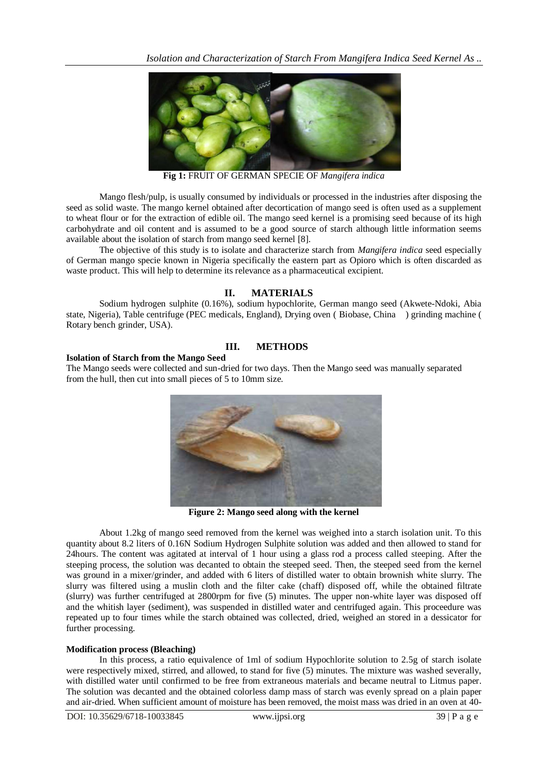

**Fig 1:** FRUIT OF GERMAN SPECIE OF *Mangifera indica*

Mango flesh/pulp, is usually consumed by individuals or processed in the industries after disposing the seed as solid waste. The mango kernel obtained after decortication of mango seed is often used as a supplement to wheat flour or for the extraction of edible oil. The mango seed kernel is a promising seed because of its high carbohydrate and oil content and is assumed to be a good source of starch although little information seems available about the isolation of starch from mango seed kernel [8].

The objective of this study is to isolate and characterize starch from *Mangifera indica* seed especially of German mango specie known in Nigeria specifically the eastern part as Opioro which is often discarded as waste product. This will help to determine its relevance as a pharmaceutical excipient.

## **II. MATERIALS**

Sodium hydrogen sulphite (0.16%), sodium hypochlorite, German mango seed (Akwete-Ndoki, Abia state, Nigeria), Table centrifuge (PEC medicals, England), Drying oven ( Biobase, China ) grinding machine ( Rotary bench grinder, USA).

# **III. METHODS**

## **Isolation of Starch from the Mango Seed**

The Mango seeds were collected and sun-dried for two days. Then the Mango seed was manually separated from the hull, then cut into small pieces of 5 to 10mm size.



**Figure 2: Mango seed along with the kernel**

About 1.2kg of mango seed removed from the kernel was weighed into a starch isolation unit. To this quantity about 8.2 liters of 0.16N Sodium Hydrogen Sulphite solution was added and then allowed to stand for 24hours. The content was agitated at interval of 1 hour using a glass rod a process called steeping. After the steeping process, the solution was decanted to obtain the steeped seed. Then, the steeped seed from the kernel was ground in a mixer/grinder, and added with 6 liters of distilled water to obtain brownish white slurry. The slurry was filtered using a muslin cloth and the filter cake (chaff) disposed off, while the obtained filtrate (slurry) was further centrifuged at 2800rpm for five (5) minutes. The upper non-white layer was disposed off and the whitish layer (sediment), was suspended in distilled water and centrifuged again. This proceedure was repeated up to four times while the starch obtained was collected, dried, weighed an stored in a dessicator for further processing.

## **Modification process (Bleaching)**

In this process, a ratio equivalence of 1ml of sodium Hypochlorite solution to 2.5g of starch isolate were respectively mixed, stirred, and allowed, to stand for five (5) minutes. The mixture was washed severally, with distilled water until confirmed to be free from extraneous materials and became neutral to Litmus paper. The solution was decanted and the obtained colorless damp mass of starch was evenly spread on a plain paper and air-dried. When sufficient amount of moisture has been removed, the moist mass was dried in an oven at 40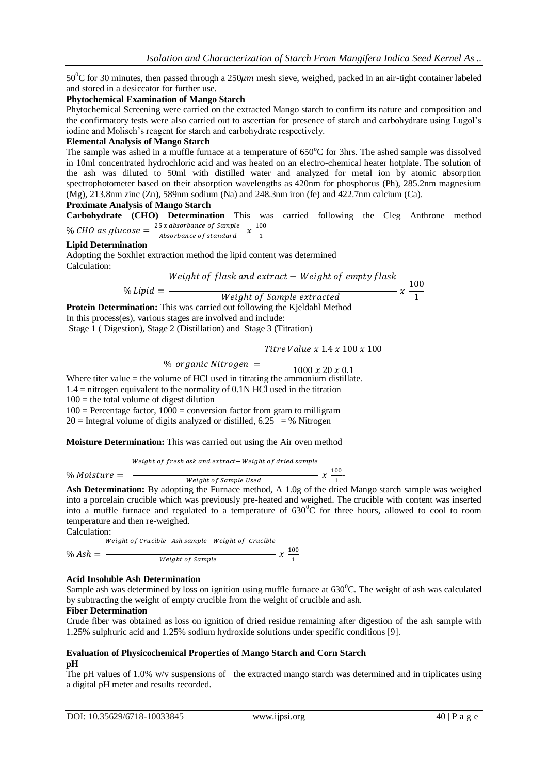$50^{\circ}$ C for 30 minutes, then passed through a 250 $\mu$ m mesh sieve, weighed, packed in an air-tight container labeled and stored in a desiccator for further use.

#### **Phytochemical Examination of Mango Starch**

Phytochemical Screening were carried on the extracted Mango starch to confirm its nature and composition and the confirmatory tests were also carried out to ascertian for presence of starch and carbohydrate using Lugol's iodine and Molisch's reagent for starch and carbohydrate respectively.

#### **Elemental Analysis of Mango Starch**

The sample was ashed in a muffle furnace at a temperature of  $650^{\circ}$ C for 3hrs. The ashed sample was dissolved in 10ml concentrated hydrochloric acid and was heated on an electro-chemical heater hotplate. The solution of the ash was diluted to 50ml with distilled water and analyzed for metal ion by atomic absorption spectrophotometer based on their absorption wavelengths as 420nm for phosphorus (Ph), 285.2nm magnesium (Mg), 213.8nm zinc (Zn), 589nm sodium (Na) and 248.3nm iron (fe) and 422.7nm calcium (Ca).

#### **Proximate Analysis of Mango Starch**

**Carbohydrate (CHO) Determination** This was carried following the Cleg Anthrone method  $\mathbf 0$ 

$$
\% CHO \text{ as glucose} = \frac{25 \times \text{absorbance of Sample}}{\text{Absorbance of standard}} \times \frac{100}{1}
$$

#### **Lipid Determination**

Adopting the Soxhlet extraction method the lipid content was determined Calculation:

$$
Weight\ of\ flask\ and\ extract-Weight\ of\ empty\ flask\ 100
$$

 $\%$  Lipid =  $-$ Weight of Sample extracted  $\mathbf{1}$ 

**Protein Determination:** This was carried out following the Kjeldahl Method

In this process(es), various stages are involved and include: Stage 1 ( Digestion), Stage 2 (Distillation) and Stage 3 (Titration)

Titre Value  $x$  1.4  $x$  100  $x$  100

 $\chi^{\frac{1}{2}}$ 

 $\frac{1000 \times 20 \times 0.1}{x}$ 

Where titer value = the volume of HCl used in titrating the ammonium distillate.

 $\%$  organic Nitrogen = -

1.4 = nitrogen equivalent to the normality of 0.1N HCl used in the titration

 $100$  = the total volume of digest dilution

 $100 =$  Percentage factor,  $1000 =$  conversion factor from gram to milligram

 $20$  = Integral volume of digits analyzed or distilled, 6.25 = % Nitrogen

**Moisture Determination:** This was carried out using the Air oven method

Weight of fresh ask and extract-Weight of dried sample

$$
\% \textit{Moisture} = \text{---}
$$

Weight of Sample Used  $\frac{1}{1}$ **Ash Determination:** By adopting the Furnace method, A 1.0g of the dried Mango starch sample was weighed into a porcelain crucible which was previously pre-heated and weighed. The crucible with content was inserted into a muffle furnace and regulated to a temperature of  $630^{\circ}$ C for three hours, allowed to cool to room temperature and then re-weighed.

Calculation:

%  $Ash = -$ Weight of Crucible+Ash sample-Weight of Crucible Weight of Sample  $\chi^{\frac{1}{2}}$  $\mathbf{1}$ 

#### **Acid Insoluble Ash Determination**

Sample ash was determined by loss on ignition using muffle furnace at  $630^{\circ}$ C. The weight of ash was calculated by subtracting the weight of empty crucible from the weight of crucible and ash.

#### **Fiber Determination**

Crude fiber was obtained as loss on ignition of dried residue remaining after digestion of the ash sample with 1.25% sulphuric acid and 1.25% sodium hydroxide solutions under specific conditions [9].

#### **Evaluation of Physicochemical Properties of Mango Starch and Corn Starch pH**

The pH values of 1.0% w/v suspensions of the extracted mango starch was determined and in triplicates using a digital pH meter and results recorded.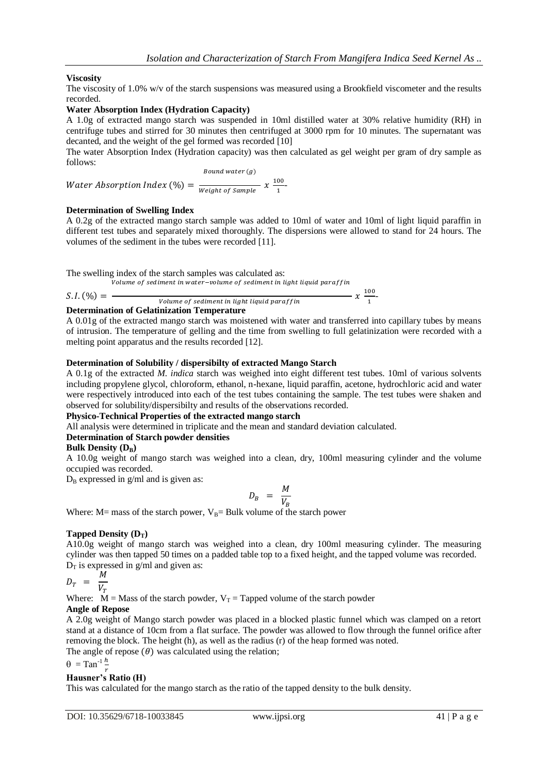$100$ 

## **Viscosity**

The viscosity of 1.0% w/v of the starch suspensions was measured using a Brookfield viscometer and the results recorded.

## **Water Absorption Index (Hydration Capacity)**

A 1.0g of extracted mango starch was suspended in 10ml distilled water at 30% relative humidity (RH) in centrifuge tubes and stirred for 30 minutes then centrifuged at 3000 rpm for 10 minutes. The supernatant was decanted, and the weight of the gel formed was recorded [10]

The water Absorption Index (Hydration capacity) was then calculated as gel weight per gram of dry sample as follows: Bound water  $(q)$ 

Water Absorption Index (%) =  $\frac{1}{Weight \ of \ Sample} x^{\frac{1}{2}}$  $\frac{1}{1}$ 

## **Determination of Swelling Index**

A 0.2g of the extracted mango starch sample was added to 10ml of water and 10ml of light liquid paraffin in different test tubes and separately mixed thoroughly. The dispersions were allowed to stand for 24 hours. The volumes of the sediment in the tubes were recorded [11].

The swelling index of the starch samples was calculated as:

.<br>Volume of sediment in water-volume of sediment in light liquid paraf fin

S. I. 
$$
(\%) =
$$
   
\n*Volume of sediment in light liquid paraffin*  
\n**Determination of Gelatinization Temperature**

A 0.01g of the extracted mango starch was moistened with water and transferred into capillary tubes by means of intrusion. The temperature of gelling and the time from swelling to full gelatinization were recorded with a melting point apparatus and the results recorded [12].

## **Determination of Solubility / dispersibilty of extracted Mango Starch**

A 0.1g of the extracted *M. indica* starch was weighed into eight different test tubes. 10ml of various solvents including propylene glycol, chloroform, ethanol, n-hexane, liquid paraffin, acetone, hydrochloric acid and water were respectively introduced into each of the test tubes containing the sample. The test tubes were shaken and observed for solubility/dispersibilty and results of the observations recorded.

#### **Physico-Technical Properties of the extracted mango starch**

All analysis were determined in triplicate and the mean and standard deviation calculated.

## **Determination of Starch powder densities**

#### **Bulk Density (DB)**

A 10.0g weight of mango starch was weighed into a clean, dry, 100ml measuring cylinder and the volume occupied was recorded.

 $D_B$  expressed in g/ml and is given as:

$$
D_B = \frac{M}{V_B}
$$

Where: M= mass of the starch power,  $V_B$ = Bulk volume of the starch power

## **Tapped Density (DT)**

A10.0g weight of mango starch was weighed into a clean, dry 100ml measuring cylinder. The measuring cylinder was then tapped 50 times on a padded table top to a fixed height, and the tapped volume was recorded.  $D_T$  is expressed in g/ml and given as:

$$
D_T = \frac{M}{V_T}
$$

Where:  $\dot{M}$  = Mass of the starch powder,  $V_T$  = Tapped volume of the starch powder

## **Angle of Repose**

A 2.0g weight of Mango starch powder was placed in a blocked plastic funnel which was clamped on a retort stand at a distance of 10cm from a flat surface. The powder was allowed to flow through the funnel orifice after removing the block. The height (h), as well as the radius (r) of the heap formed was noted.

The angle of repose  $(\theta)$  was calculated using the relation;

$$
\theta = \text{Tan}^{-1} \frac{h}{r}
$$

# **Hausner's Ratio (H)**

This was calculated for the mango starch as the ratio of the tapped density to the bulk density.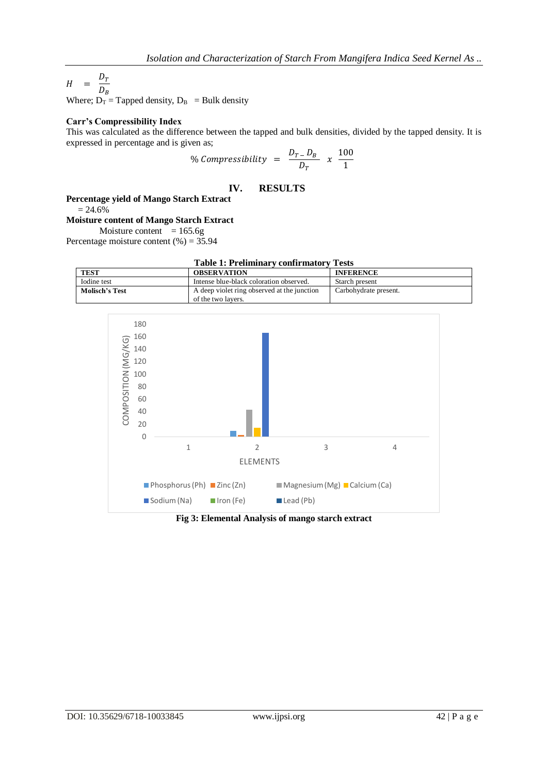$\boldsymbol{D}$  $H$  $\qquad \qquad =$  $\boldsymbol{D}$ Where;  $D_T = Tapped density$ ,  $D_B = Bulk density$ 

## **Carr's Compressibility Index**

This was calculated as the difference between the tapped and bulk densities, divided by the tapped density. It is expressed in percentage and is given as;

$$
\% \text{ Compressibility } = \frac{D_T - D_B}{D_T} \times \frac{100}{1}
$$

## **IV. RESULTS**

## **Percentage yield of Mango Starch Extract**

 $= 24.6\%$ 

**Moisture content of Mango Starch Extract** 

Moisture content  $= 165.6g$ 

Percentage moisture content  $(\% ) = 35.94$ 

| <b>Table 1: Preliminary confirmatory Tests</b> |                                                                   |                       |  |  |
|------------------------------------------------|-------------------------------------------------------------------|-----------------------|--|--|
| <b>TEST</b>                                    | <b>OBSERVATION</b>                                                | <b>INFERENCE</b>      |  |  |
| Iodine test                                    | Intense blue-black coloration observed.                           | Starch present        |  |  |
| <b>Molisch's Test</b>                          | A deep violet ring observed at the junction<br>of the two lavers. | Carbohydrate present. |  |  |



**Fig 3: Elemental Analysis of mango starch extract**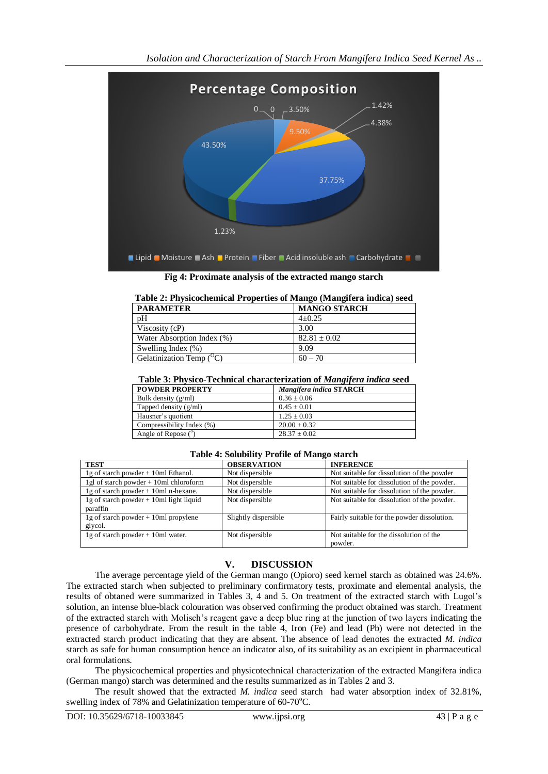

**Fig 4: Proximate analysis of the extracted mango starch**

| Table 2: Physicochemical Properties of Mango (Mangifera indica) seed |                     |
|----------------------------------------------------------------------|---------------------|
| <b>PARAMETER</b>                                                     | <b>MANGO STARCH</b> |

| PARAMETER                     | MANGO STARCH   |
|-------------------------------|----------------|
| pΗ                            | $4+0.25$       |
| Viscosity $(cP)$              | 3.00           |
| Water Absorption Index (%)    | $82.81 + 0.02$ |
| Swelling Index $(\%)$         | 9.09           |
| Gelatinization Temp $(^{O}C)$ | $60 - 70$      |

## **Table 3: Physico-Technical characterization of** *Mangifera indica* **seed**

| <b>POWDER PROPERTY</b>    | Mangifera indica STARCH |
|---------------------------|-------------------------|
| Bulk density $(g/ml)$     | $0.36 \pm 0.06$         |
| Tapped density $(g/ml)$   | $0.45 \pm 0.01$         |
| Hausner's quotient        | $1.25 \pm 0.03$         |
| Compressibility Index (%) | $20.00 \pm 0.32$        |
| Angle of Repose $(°)$     | $28.37 \pm 0.02$        |

#### **Table 4: Solubility Profile of Mango starch**

| <b>TEST</b>                               | <b>OBSERVATION</b>   | <b>INFERENCE</b>                            |
|-------------------------------------------|----------------------|---------------------------------------------|
| $1g$ of starch powder $+10ml$ Ethanol.    | Not dispersible      | Not suitable for dissolution of the powder  |
| 1gl of starch powder + 10ml chloroform    | Not dispersible      | Not suitable for dissolution of the powder. |
| $1g$ of starch powder + 10ml n-hexane.    | Not dispersible      | Not suitable for dissolution of the powder. |
| $1g$ of starch powder + 10ml light liquid | Not dispersible      | Not suitable for dissolution of the powder. |
| paraffin                                  |                      |                                             |
| $1g$ of starch powder $+10ml$ propylene   | Slightly dispersible | Fairly suitable for the powder dissolution. |
| glycol.                                   |                      |                                             |
| $1g$ of starch powder + 10ml water.       | Not dispersible      | Not suitable for the dissolution of the     |
|                                           |                      | powder.                                     |

# **V. DISCUSSION**

The average percentage yield of the German mango (Opioro) seed kernel starch as obtained was 24.6%. The extracted starch when subjected to preliminary confirmatory tests, proximate and elemental analysis, the results of obtaned were summarized in Tables 3, 4 and 5. On treatment of the extracted starch with Lugol's solution, an intense blue-black colouration was observed confirming the product obtained was starch. Treatment of the extracted starch with Molisch's reagent gave a deep blue ring at the junction of two layers indicating the presence of carbohydrate. From the result in the table 4, Iron (Fe) and lead (Pb) were not detected in the extracted starch product indicating that they are absent. The absence of lead denotes the extracted *M. indica* starch as safe for human consumption hence an indicator also, of its suitability as an excipient in pharmaceutical oral formulations.

The physicochemical properties and physicotechnical characterization of the extracted Mangifera indica (German mango) starch was determined and the results summarized as in Tables 2 and 3.

The result showed that the extracted *M. indica* seed starch had water absorption index of 32.81%, swelling index of 78% and Gelatinization temperature of  $60-70^{\circ}$ C.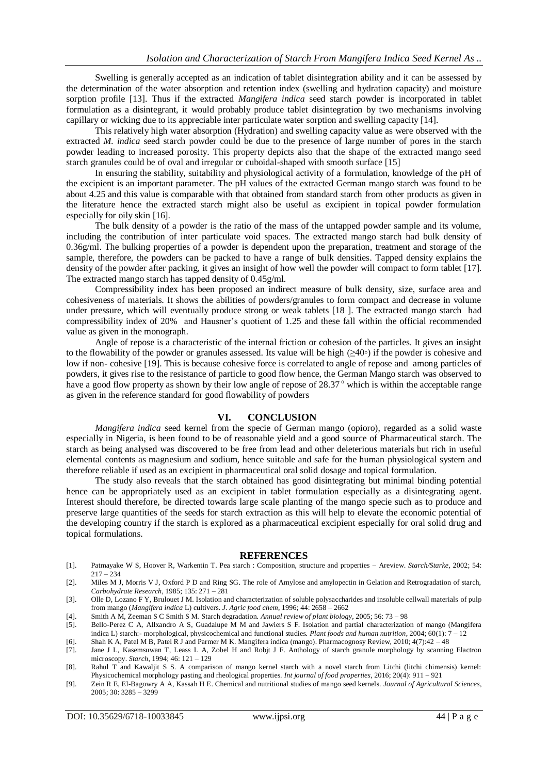Swelling is generally accepted as an indication of tablet disintegration ability and it can be assessed by the determination of the water absorption and retention index (swelling and hydration capacity) and moisture sorption profile [13]. Thus if the extracted *Mangifera indica* seed starch powder is incorporated in tablet formulation as a disintegrant, it would probably produce tablet disintegration by two mechanisms involving capillary or wicking due to its appreciable inter particulate water sorption and swelling capacity [14].

This relatively high water absorption (Hydration) and swelling capacity value as were observed with the extracted *M. indica* seed starch powder could be due to the presence of large number of pores in the starch powder leading to increased porosity. This property depicts also that the shape of the extracted mango seed starch granules could be of oval and irregular or cuboidal-shaped with smooth surface [15]

In ensuring the stability, suitability and physiological activity of a formulation, knowledge of the pH of the excipient is an important parameter. The pH values of the extracted German mango starch was found to be about 4.25 and this value is comparable with that obtained from standard starch from other products as given in the literature hence the extracted starch might also be useful as excipient in topical powder formulation especially for oily skin [16].

The bulk density of a powder is the ratio of the mass of the untapped powder sample and its volume, including the contribution of inter particulate void spaces. The extracted mango starch had bulk density of 0.36g/ml. The bulking properties of a powder is dependent upon the preparation, treatment and storage of the sample, therefore, the powders can be packed to have a range of bulk densities. Tapped density explains the density of the powder after packing, it gives an insight of how well the powder will compact to form tablet [17]. The extracted mango starch has tapped density of 0.45g/ml.

Compressibility index has been proposed an indirect measure of bulk density, size, surface area and cohesiveness of materials. It shows the abilities of powders/granules to form compact and decrease in volume under pressure, which will eventually produce strong or weak tablets [18 ]. The extracted mango starch had compressibility index of 20% and Hausner's quotient of 1.25 and these fall within the official recommended value as given in the monograph.

Angle of repose is a characteristic of the internal friction or cohesion of the particles. It gives an insight to the flowability of the powder or granules assessed. Its value will be high  $(\geq 40\degree)$  if the powder is cohesive and low if non- cohesive [19]. This is because cohesive force is correlated to angle of repose and among particles of powders, it gives rise to the resistance of particle to good flow hence, the German Mango starch was observed to have a good flow property as shown by their low angle of repose of 28.37° which is within the acceptable range as given in the reference standard for good flowability of powders

#### **VI. CONCLUSION**

*Mangifera indica* seed kernel from the specie of German mango (opioro), regarded as a solid waste especially in Nigeria, is been found to be of reasonable yield and a good source of Pharmaceutical starch. The starch as being analysed was discovered to be free from lead and other deleterious materials but rich in useful elemental contents as magnesium and sodium, hence suitable and safe for the human physiological system and therefore reliable if used as an excipient in pharmaceutical oral solid dosage and topical formulation.

The study also reveals that the starch obtained has good disintegrating but minimal binding potential hence can be appropriately used as an excipient in tablet formulation especially as a disintegrating agent. Interest should therefore, be directed towards large scale planting of the mango specie such as to produce and preserve large quantities of the seeds for starch extraction as this will help to elevate the economic potential of the developing country if the starch is explored as a pharmaceutical excipient especially for oral solid drug and topical formulations.

#### **REFERENCES**

- [1]. Patmayake W S, Hoover R, Warkentin T. Pea starch : Composition, structure and properties Areview. *Starch/Starke*, 2002; 54:  $217 - 234$
- [2]. Miles M J, Morris V J, Oxford P D and Ring SG. The role of Amylose and amylopectin in Gelation and Retrogradation of starch, *Carbohydrate Research*, 1985; 135: 271 – 281
- [3]. Olle D, Lozano F Y, Brulouet J M. Isolation and characterization of soluble polysaccharides and insoluble cellwall materials of pulp from mango (*Mangifera indica* L) cultivers. *J. Agric food chem*, 1996; 44: 2658 – 2662
- [4]. Smith A M, Zeeman S C Smith S M. Starch degradation. *Annual review of plant biology*, 2005; 56: 73 98
- [5]. Bello-Perez C A, Allxandro A S, Guadalupe M M and Jawiers S F. Isolation and partial characterization of mango (Mangifera indica L) starch:- morphological, physicochemical and functional studies. *Plant foods and human nutrition*, 2004; 60(1): 7 – 12
- [6]. Shah K A, Patel M B, Patel R J and Parmer M K. Mangifera indica (mango). Pharmacognosy Review, 2010; 4(7):42 48 [7]. Jane J L, Kasemsuwan T, Leass L A, Zobel H and Robjt J F. Anthology of starch granule morphology by scanning Elactron
- microscopy. *Starch*, 1994; 46: 121 129 [8]. Rahul T and Kawaljit S S. A comparison of mango kernel starch with a novel starch from Litchi (litchi chimensis) kernel: Physicochemical morphology pasting and rheological properties. *Int journal of food properties*, 2016; 20(4): 911 – 921
- [9]. Zein R E, El-Bagowry A A, Kassah H E. Chemical and nutritional studies of mango seed kernels. *Journal of Agricultural Sciences*, 2005; 30: 3285 – 3299